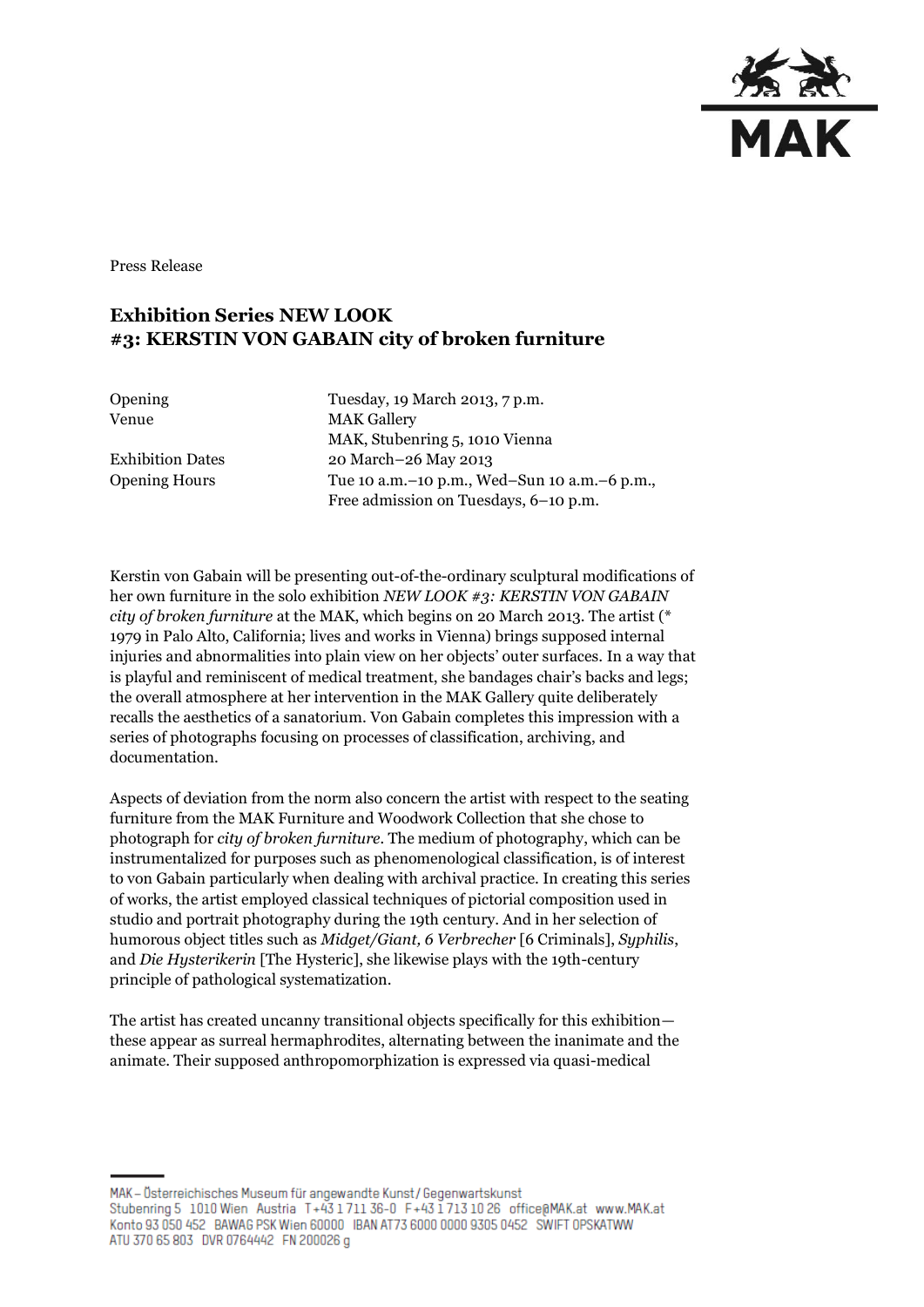

Press Release

## **Exhibition Series NEW LOOK #3: KERSTIN VON GABAIN city of broken furniture**

Opening Tuesday, 19 March 2013, 7 p.m. Venue MAK Gallery MAK, Stubenring 5, 1010 Vienna Exhibition Dates 20 March–26 May 2013 Opening Hours Tue 10 a.m.–10 p.m., Wed–Sun 10 a.m.–6 p.m., Free admission on Tuesdays, 6–10 p.m.

Kerstin von Gabain will be presenting out-of-the-ordinary sculptural modifications of her own furniture in the solo exhibition *NEW LOOK #3: KERSTIN VON GABAIN city of broken furniture* at the MAK, which begins on 20 March 2013. The artist (\* 1979 in Palo Alto, California; lives and works in Vienna) brings supposed internal injuries and abnormalities into plain view on her objects' outer surfaces. In a way that is playful and reminiscent of medical treatment, she bandages chair's backs and legs; the overall atmosphere at her intervention in the MAK Gallery quite deliberately recalls the aesthetics of a sanatorium. Von Gabain completes this impression with a series of photographs focusing on processes of classification, archiving, and documentation.

Aspects of deviation from the norm also concern the artist with respect to the seating furniture from the MAK Furniture and Woodwork Collection that she chose to photograph for *city of broken furniture.* The medium of photography, which can be instrumentalized for purposes such as phenomenological classification, is of interest to von Gabain particularly when dealing with archival practice. In creating this series of works, the artist employed classical techniques of pictorial composition used in studio and portrait photography during the 19th century. And in her selection of humorous object titles such as *Midget/Giant, 6 Verbrecher* [6 Criminals], *Syphilis*, and *Die Hysterikerin* [The Hysteric], she likewise plays with the 19th-century principle of pathological systematization.

The artist has created uncanny transitional objects specifically for this exhibition these appear as surreal hermaphrodites, alternating between the inanimate and the animate. Their supposed anthropomorphization is expressed via quasi-medical

MAK – Österreichisches Museum für angewandte Kunst/Gegenwartskunst Stubenring 5 1010 Wien Austria T+43 1711 36-0 F+43 1713 10 26 office@MAK.at www.MAK.at Konto 93 050 452 BAWAG PSK Wien 60000 IBAN AT73 6000 0000 9305 0452 SWIFT OPSKATWW ATU 370 65 803 DVR 0764442 FN 200026 g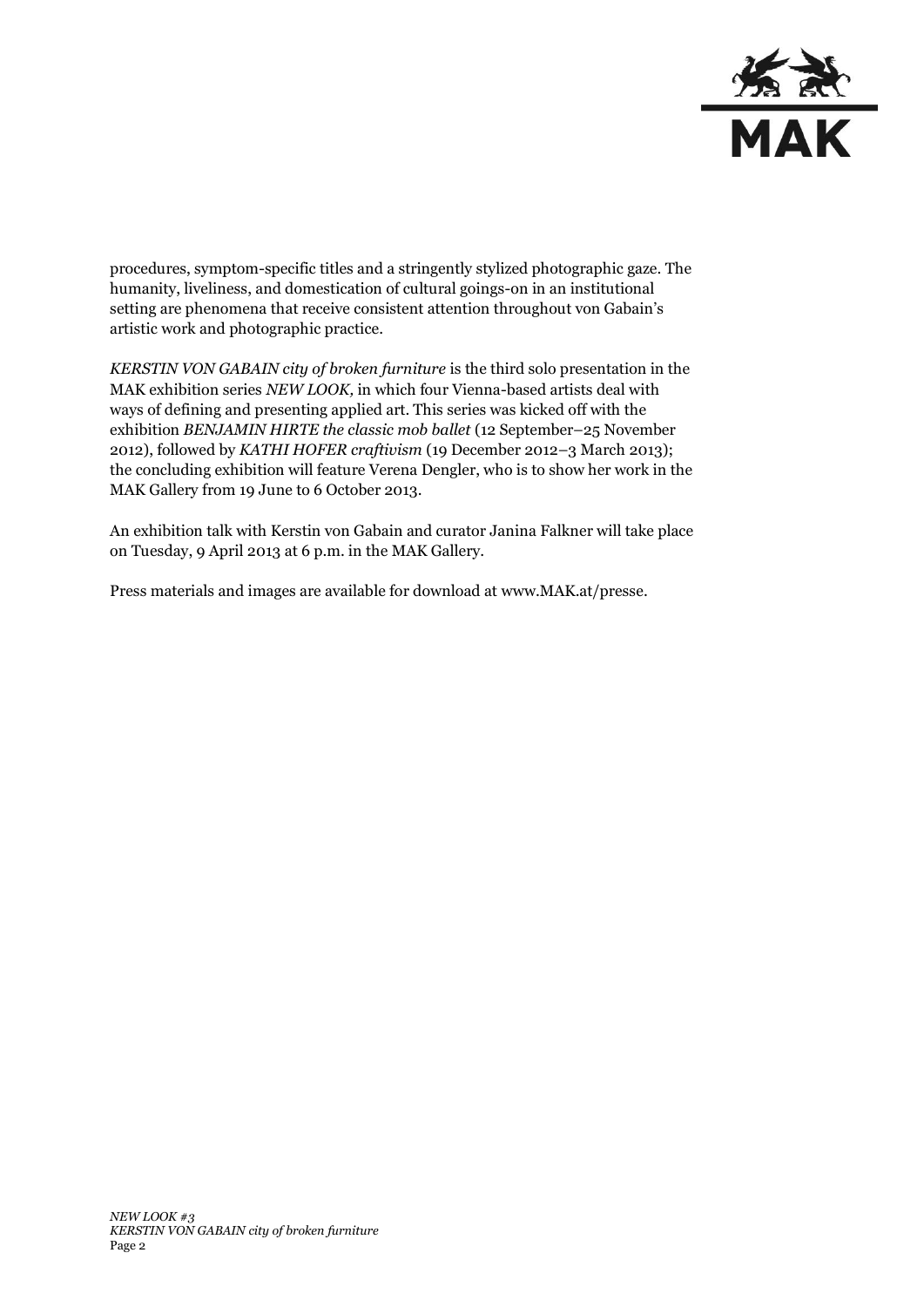

procedures, symptom-specific titles and a stringently stylized photographic gaze. The humanity, liveliness, and domestication of cultural goings-on in an institutional setting are phenomena that receive consistent attention throughout von Gabain's artistic work and photographic practice.

*KERSTIN VON GABAIN city of broken furniture* is the third solo presentation in the MAK exhibition series *NEW LOOK,* in which four Vienna-based artists deal with ways of defining and presenting applied art. This series was kicked off with the exhibition *BENJAMIN HIRTE the classic mob ballet* (12 September–25 November 2012), followed by *KATHI HOFER craftivism* (19 December 2012–3 March 2013); the concluding exhibition will feature Verena Dengler, who is to show her work in the MAK Gallery from 19 June to 6 October 2013.

An exhibition talk with Kerstin von Gabain and curator Janina Falkner will take place on Tuesday, 9 April 2013 at 6 p.m. in the MAK Gallery.

Press materials and images are available for download at [www.MAK.at/presse.](http://www.mak.at/presse)